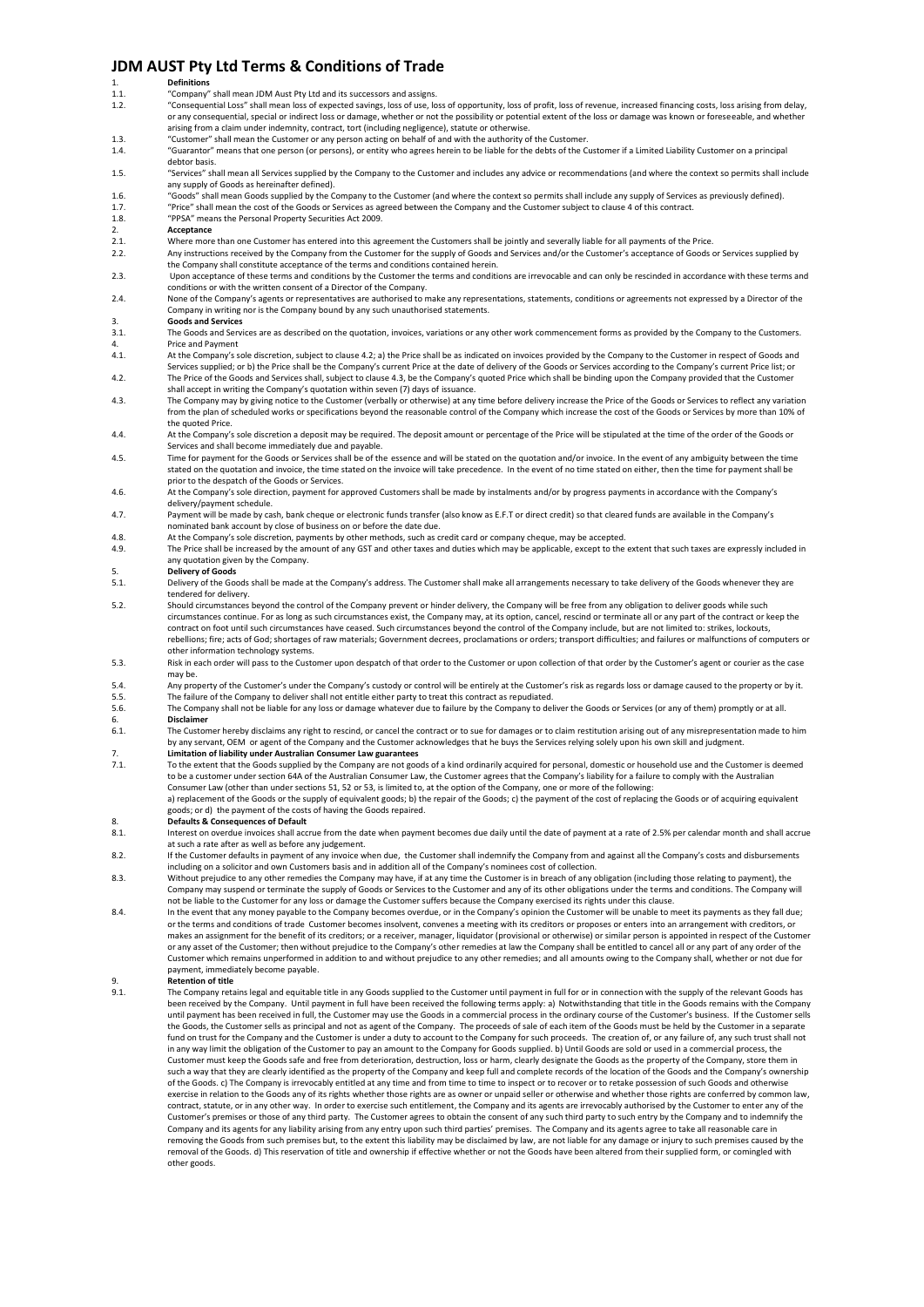#### **JDM AUST Pty Ltd Terms & Conditions of Trade**

# 1. **Definitions**

- 1.1. "Company" shall mean JDM Aust Pty Ltd and its successors and assigns.<br>1.2. "Consequential Loss" shall mean loss of expected savings, loss of use, lo
- 1.2. "Consequential Loss" shall mean loss of expected savings, loss of use, loss of opportunity, loss of profit, loss of revenue, increased financing costs, loss arising from delay, or any consequential, special or indirect loss or damage, whether or not the possibility or potential extent of the loss or damage was known or foreseeable, and whether
- arising from a claim under indemnity, contract, tort (including negligence), statute or otherwise. 1.3. "Customer" shall mean the Customer or any person acting on behalf of and with the authority of the Customer.
- 1.4. "Guarantor" means that one person (or persons), or entity who agrees herein to be liable for the debts of the Customer if a Limited Liability Customer on a principal debtor basis.
- 1.5. "Services" shall mean all Services supplied by the Company to the Customer and includes any advice or recommendations (and where the context so permits shall include any supply of Goods as hereinafter defined).
- 1.6. "Goods" shall mean Goods supplied by the Company to the Customer (and where the context so permits shall include any supply of Services as previously defined).<br>1.7 "Price" shall mean the cost of the Goods or Services
- 1.7. "Price" shall mean the cost of the Goods or Services as agreed between the Company and the Customer subject to clause 4 of this contract.
- 1.8. "PPSA" means the Personal Property Securities Act 2009. 2. **Acceptance**
- 
- 2.1. Where more than one Customer has entered into this agreement the Customers shall be jointly and severally liable for all payments of the Price.<br>2.2. Any instructions received by the Company from the Customer for the s Any instructions received by the Company from the Customer for the supply of Goods and Services and/or the Customer's acceptance of Goods or Services supplied by the Company shall constitute acceptance of the terms and conditions contained herein.
- 2.3. Upon acceptance of these terms and conditions by the Customer the terms and conditions are irrevocable and can only be rescinded in accordance with these terms and conditions or with the written consent of a Director of the Company.
- 2.4. None of the Company's agents or representatives are authorised to make any representations, statements, conditions or agreements not expressed by a Director of the Company in writing nor is the Company bound by any such unauthorised statements.

#### 3. **Goods and Services**

- 3.1. The Goods and Services are as described on the quotation, invoices, variations or any other work commencement forms as provided by the Company to the Customers. 4. Price and Payment<br>  $\begin{array}{ccc}\n 4.1 & \text{At the Common's's}\n \end{array}$
- At the Company's sole discretion, subject to clause 4.2; a) the Price shall be as indicated on invoices provided by the Company to the Customer in respect of Goods and Services supplied; or b) the Price shall be the Company's current Price at the date of delivery of the Goods or Services according to the Company's current Price list; or
- 4.2. The Price of the Goods and Services shall, subject to clause 4.3, be the Company's quoted Price which shall be binding upon the Company provided that the Customer<br>shall accept in writing the Company's quotation within
- 4.3. The Company may by giving notice to the Customer (verbally or otherwise) at any time before delivery increase the Price of the Goods or Services to reflect any variation from the plan of scheduled works or specifications beyond the reasonable control of the Company which increase the cost of the Goods or Services by more than 10% of the quoted Price.
- 4.4. At the Company's sole discretion a deposit may be required. The deposit amount or percentage of the Price will be stipulated at the time of the order of the Goods or Services and shall become immediately due and payable.
- 4.5. Time for payment for the Goods or Services shall be of the essence and will be stated on the quotation and/or invoice. In the event of any ambiguity between the time stated on the quotation and invoice, the time stated on the invoice will take precedence. In the event of no time stated on either, then the time for payment shall be prior to the despatch of the Goods or Services.
- 4.6. At the Company's sole direction, payment for approved Customers shall be made by instalments and/or by progress payments in accordance with the Company's delivery/payment schedule.
- 4.7. Payment will be made by cash, bank cheque or electronic funds transfer (also know as E.F.T or direct credit) so that cleared funds are available in the Company's
- nominated bank account by close of business on or before the date due.
- 4.8. At the Company's sole discretion, payments by other methods, such as credit card or company cheque, may be accepted.<br>4.9. The Price shall be increased by the amount of any GST and other taxes and duties which may be a The Price shall be increased by the amount of any GST and other taxes and duties which may be applicable, except to the extent that such taxes are expressly included in any quotation given by the Company.

### 5. **Delivery of Goods**

- 5.1. Delivery of the Goods shall be made at the Company's address. The Customer shall make all arrangements necessary to take delivery of the Goods whenever they are tendered for delivery.
- 5.2. Should circumstances beyond the control of the Company prevent or hinder delivery, the Company will be free from any obligation to deliver goods while such circumstances continue. For as long as such circumstances exist, the Company may, at its option, cancel, rescind or terminate all or any part of the contract or keep the contract on foot until such circumstances have ceased. Such circumstances beyond the control of the Company include, but are not limited to: strikes, lockouts, rebellions; fire; acts of God; shortages of raw materials; Government decrees, proclamations or orders; transport difficulties; and failures or malfunctions of computers or other information technology systems.
- 5.3. Risk in each order will pass to the Customer upon despatch of that order to the Customer or upon collection of that order by the Customer's agent or courier as the case may be.
- 5.4. Any property of the Customer's under the Company's custody or control will be entirely at the Customer's risk as regards loss or damage caused to the property or by it.<br>5.5. The failure of the Company to deliver shall
- 5.5. The failure of the Company to deliver shall not entitle either party to treat this contract as repudiated.<br>5.6. The Company shall not be liable for any loss or damage whatever due to failure by the Company to del The Company shall not be liable for any loss or damage whatever due to failure by the Company to deliver the Goods or Services (or any of them) promptly or at all
- 6. **Disclaimer**
- The Customer hereby disclaims any right to rescind, or cancel the contract or to sue for damages or to claim restitution arising out of any misrepresentation made to him by any servant, OEM or agent of the Company and the Customer acknowledges that he buys the Services relying solely upon his own skill and judgment.
- 7. **Limitation of liability under Australian Consumer Law guarantees** To the extent that the Goods supplied by the Company are not goods of a kind ordinarily acquired for personal, domestic or household use and the Customer is deemed to be a customer under section 64A of the Australian Consumer Law, the Customer agrees that the Company's liability for a failure to comply with the Australian Consumer Law (other than under sections 51, 52 or 53, is limited to, at the option of the Company, one or more of the following: a) replacement of the Goods or the supply of equivalent goods; b) the repair of the Goods; c) the payment of the cost of replacing the Goods or of acquiring equivalent goods; or d) the payment of the costs of having the Goods repaired.

- 8. **Defaults & Consequences of Default** 8.1. Interest on overdue invoices shall accrue from the date when payment becomes due daily until the date of payment at a rate of 2.5% per calendar month and shall accrue at such a rate after as well as before any judgement.
- 8.2. If the Customer defaults in payment of any invoice when due, the Customer shall indemnify the Company from and against all the Company's costs and disbursements including on a solicitor and own Customers basis and in addition all of the Company's nominees cost of collection.
- 8.3. Without prejudice to any other remedies the Company may have, if at any time the Customer is in breach of any obligation (including those relating to payment), the<br>Company may suspend or terminate the supply of Goods not be liable to the Customer for any loss or damage the Customer suffers because the Company exercised its rights under this clause.
- 8.4. In the event that any money payable to the Company becomes overdue, or in the Company's opinion the Customer will be unable to meet its payments as they fall due; or the terms and conditions of trade Customer becomes insolvent, convenes a meeting with its creditors or proposes or enters into an arrangement with creditors, or makes an assignment for the benefit of its creditors; or a receiver, manager, liquidator (provisional or otherwise) or similar person is appointed in respect of the Customer<br>or any asset of the Customer; then without preju Customer which remains unperformed in addition to and without prejudice to any other remedies; and all amounts owing to the Company shall, whether or not due for payment, immediately become payable.

### 9. **Retention of title**

The Company retains legal and equitable title in any Goods supplied to the Customer until payment in full for or in connection with the supply of the relevant Goods has been received by the Company. Until payment in full have been received the following terms apply: a) Notwithstanding that title in the Goods remains with the Company<br>until payment has been received in full, the Customer ma the Goods, the Customer sells as principal and not as agent of the Company. The proceeds of sale of each item of the Goods must be held by the Customer in a separate<br>fund on trust for the Company and the Customer is under in any way limit the obligation of the Customer to pay an amount to the Company for Goods supplied. b) Until Goods are sold or used in a commercial process, the Customer must keep the Goods safe and free from deterioration, destruction, loss or harm, clearly designate the Goods as the property of the Company, store them in such a way that they are clearly identified as the property of the Company and keep full and complete records of the location of the Goods and the Company's ownership of the Goods. c) The Company is irrevocably entitled at any time and from time to time to inspect or to recover or to retake possession of such Goods and otherwise<br>exercise in relation to the Goods any of its rights whethe contract, statute, or in any other way. In order to exercise such entitlement, the Company and its agents are irrevocably authorised by the Customer to enter any of the Customer's premises or those of any third party. The Customer agrees to obtain the consent of any such third party to such entry by the Company and to indemnify the Company and its agents for any liability arising from any entry upon such third parties' premises. The Company and its agents agree to take all reasonable care in removing the Goods from such premises but, to the extent this liability may be disclaimed by law, are not liable for any damage or injury to such premises caused by the<br>removal of the Goods. d) This reservation of title an other goods.